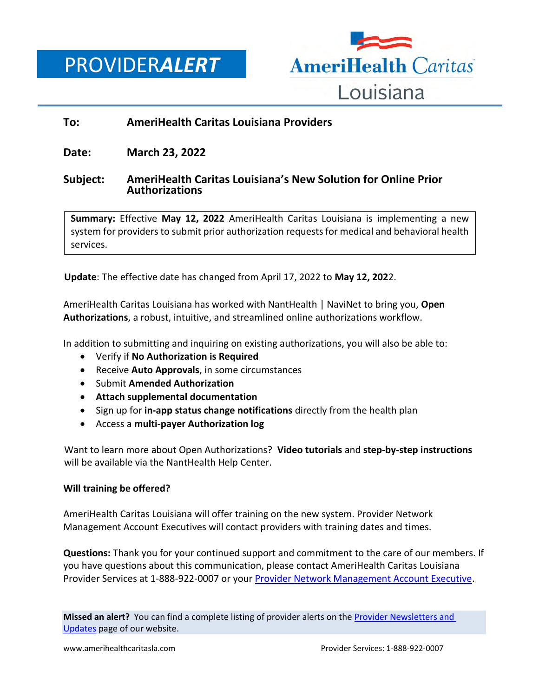PROVIDER*ALERT*



## **To: AmeriHealth Caritas Louisiana Providers**

**Date: March 23, 2022**

## **Subject: AmeriHealth Caritas Louisiana's New Solution for Online Prior Authorizations**

**Summary:** Effective **May 12, 2022** AmeriHealth Caritas Louisiana is implementing a new system for providers to submit prior authorization requests for medical and behavioral health services.

**Update**: The effective date has changed from April 17, 2022 to **May 12, 202**2.

AmeriHealth Caritas Louisiana has worked with NantHealth | NaviNet to bring you, **Open Authorizations**, a robust, intuitive, and streamlined online authorizations workflow.

In addition to submitting and inquiring on existing authorizations, you will also be able to:

- Verify if **No Authorization is Required**
- Receive **Auto Approvals**, in some circumstances
- Submit **Amended Authorization**
- **Attach supplemental documentation**
- Sign up for **in-app status change notifications** directly from the health plan
- Access a **multi-payer Authorization log**

Want to learn more about Open Authorizations? **Video tutorials** and **step-by-step instructions** will be available via the NantHealth Help Center.

## **Will training be offered?**

AmeriHealth Caritas Louisiana will offer training on the new system. Provider Network Management Account Executives will contact providers with training dates and times.

**Questions:** Thank you for your continued support and commitment to the care of our members. If you have questions about this communication, please contact AmeriHealth Caritas Louisiana Provider Services at 1-888-922-0007 or you[r Provider Network Management Account Executive.](http://www.amerihealthcaritasla.com/pdf/provider/account-executives.pdf)

**Missed an alert?** You can find a complete listing of provider alerts on th[e Provider Newsletters and](http://amerihealthcaritasla.com/provider/newsletters-and-updates)  [Updates](http://amerihealthcaritasla.com/provider/newsletters-and-updates) page of our website.